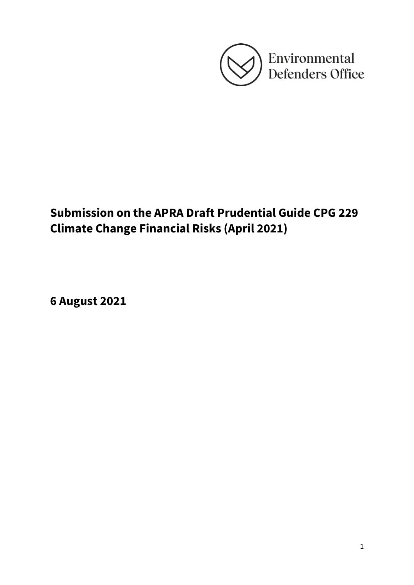

# **Submission on the APRA Draft Prudential Guide CPG 229 Climate Change Financial Risks (April 2021)**

**6 August 2021**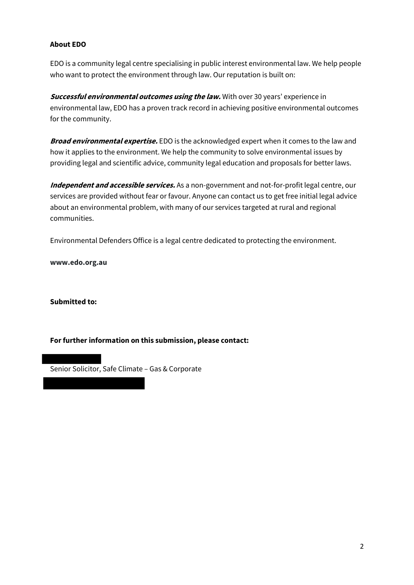# **About EDO**

EDO is a community legal centre specialising in public interest environmental law. We help people who want to protect the environment through law. Our reputation is built on:

**Successful environmental outcomes using the law.** With over 30 years' experience in environmental law, EDO has a proven track record in achieving positive environmental outcomes for the community.

**Broad environmental expertise.** EDO is the acknowledged expert when it comes to the law and how it applies to the environment. We help the community to solve environmental issues by providing legal and scientific advice, community legal education and proposals for better laws.

**Independent and accessible services.** As a non-government and not-for-profit legal centre, our services are provided without fear or favour. Anyone can contact us to get free initial legal advice about an environmental problem, with many of our services targeted at rural and regional communities.

Environmental Defenders Office is a legal centre dedicated to protecting the environment.

**www.edo.org.au**

**Submitted to:**

# **Forfurther information on this submission, please contact:**

Senior Solicitor, Safe Climate – Gas & Corporate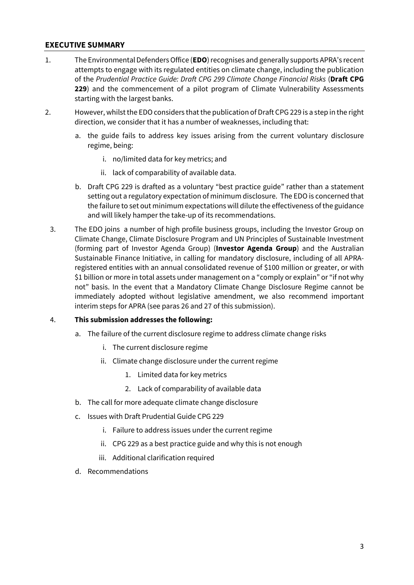## **EXECUTIVE SUMMARY**

- 1. The Environmental Defenders Office (**EDO**) recognises and generally supports APRA's recent attempts to engage with its regulated entities on climate change, including the publication of the *Prudential Practice Guide: Draft CPG 299 Climate Change Financial Risks* (**Draft CPG 229**) and the commencement of a pilot program of Climate Vulnerability Assessments starting with the largest banks.
- 2. However, whilstthe EDO considers that the publication of Draft CPG 229 is a step in the right direction, we consider that it has a number of weaknesses, including that:
	- a. the guide fails to address key issues arising from the current voluntary disclosure regime, being:
		- i. no/limited data for key metrics; and
		- ii. lack of comparability of available data.
	- b. Draft CPG 229 is drafted as a voluntary "best practice guide" rather than a statement setting out a regulatory expectation of minimum disclosure. The EDO is concerned that the failure to set out minimum expectations will dilute the effectiveness of the guidance and will likely hamper the take-up of its recommendations.
	- 3. The EDO joins a number of high profile business groups, including the Investor Group on Climate Change, Climate Disclosure Program and UN Principles of Sustainable Investment (forming part of Investor Agenda Group) (**Investor Agenda Group**) and the Australian Sustainable Finance Initiative, in calling for mandatory disclosure, including of all APRAregistered entities with an annual consolidated revenue of \$100 million or greater, or with \$1 billion or more in total assets under management on a "comply or explain" or "if not why not" basis. In the event that a Mandatory Climate Change Disclosure Regime cannot be immediately adopted without legislative amendment, we also recommend important interim steps for APRA (see paras 26 and 27 of this submission).

## 4. **This submission addresses the following:**

- a. The failure of the current disclosure regime to address climate change risks
	- i. The current disclosure regime
	- ii. Climate change disclosure under the current regime
		- 1. Limited data for key metrics
		- 2. Lack of comparability of available data
- b. The call for more adequate climate change disclosure
- c. Issues with Draft Prudential Guide CPG 229
	- i. Failure to address issues under the current regime
	- ii. CPG 229 as a best practice guide and why this is not enough
	- iii. Additional clarification required
- d. Recommendations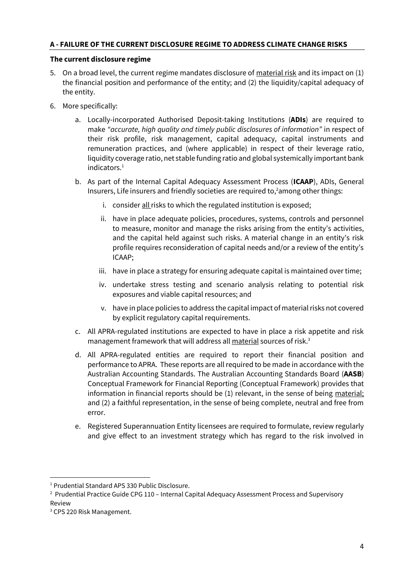## **A - FAILURE OF THE CURRENT DISCLOSURE REGIME TO ADDRESS CLIMATE CHANGE RISKS**

## **The current disclosure regime**

- 5. On a broad level, the current regime mandates disclosure of material risk and its impact on (1) the financial position and performance of the entity; and (2) the liquidity/capital adequacy of the entity.
- 6. More specifically:
	- a. Locally-incorporated Authorised Deposit-taking Institutions (**ADIs**) are required to make *"accurate, high quality and timely public disclosures of information"* in respect of their risk profile, risk management, capital adequacy, capital instruments and remuneration practices, and (where applicable) in respect of their leverage ratio, liquidity coverage ratio, net stable funding ratio and global systemically important bank indicators.<sup>1</sup>
	- b. As part of the Internal Capital Adequacy Assessment Process (**ICAAP**), ADIs, General Insurers, Life insurers and friendly societies are required to, <sup>2</sup>among other things:
		- i. consider all risks to which the regulated institution is exposed;
		- ii. have in place adequate policies, procedures, systems, controls and personnel to measure, monitor and manage the risks arising from the entity's activities, and the capital held against such risks. A material change in an entity's risk profile requires reconsideration of capital needs and/or a review of the entity's ICAAP;
		- iii. have in place a strategy for ensuring adequate capital is maintained over time;
		- iv. undertake stress testing and scenario analysis relating to potential risk exposures and viable capital resources; and
		- v. have in place policies to address the capital impact of material risks not covered by explicit regulatory capital requirements.
	- c. All APRA-regulated institutions are expected to have in place a risk appetite and risk management framework that will address all material sources of risk.<sup>3</sup>
	- d. All APRA-regulated entities are required to report their financial position and performance to APRA. These reports are all required to be made in accordance with the Australian Accounting Standards. The Australian Accounting Standards Board (**AASB**) Conceptual Framework for Financial Reporting (Conceptual Framework) provides that information in financial reports should be (1) relevant, in the sense of being material; and (2) a faithful representation, in the sense of being complete, neutral and free from error.
	- e. Registered Superannuation Entity licensees are required to formulate, review regularly and give effect to an investment strategy which has regard to the risk involved in

<sup>1</sup> Prudential Standard APS 330 Public Disclosure.

<sup>&</sup>lt;sup>2</sup> Prudential Practice Guide CPG 110 - Internal Capital Adequacy Assessment Process and Supervisory Review

<sup>3</sup> CPS 220 Risk Management.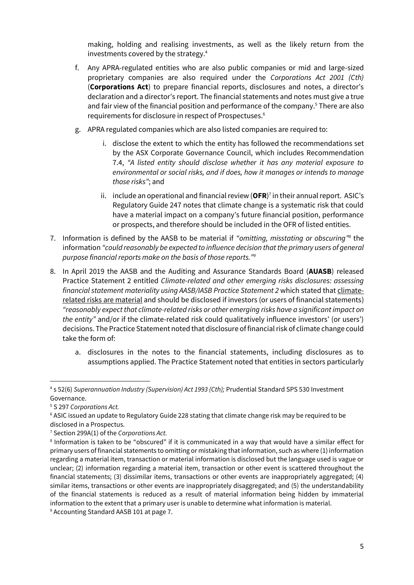making, holding and realising investments, as well as the likely return from the investments covered by the strategy. 4

- f. Any APRA-regulated entities who are also public companies or mid and large-sized proprietary companies are also required under the *Corporations Act 2001 (Cth)* (**Corporations Act**) to prepare financial reports, disclosures and notes, a director's declaration and a director's report. The financial statements and notes must give a true and fair view of the financial position and performance of the company.<sup>5</sup> There are also requirements for disclosure in respect of Prospectuses.<sup>6</sup>
- g. APRA regulated companies which are also listed companies are required to:
	- i. disclose the extent to which the entity has followed the recommendations set by the ASX Corporate Governance Council, which includes Recommendation 7.4, *"A listed entity should disclose whether it has any material exposure to environmental or social risks, and if does, how it manages or intends to manage those risks"*; and
	- ii. include an operational and financial review (OFR)<sup>7</sup> in their annual report. ASIC's Regulatory Guide 247 notes that climate change is a systematic risk that could have a material impact on a company's future financial position, performance or prospects, and therefore should be included in the OFR of listed entities.
- 7. Information is defined by the AASB to be material if *"omitting, misstating or obscuring" 8* the information *"could reasonably be expected to influence decision that the primary users of general purpose financial reports make on the basis of those reports."<sup>9</sup>*
- 8. In April 2019 the AASB and the Auditing and Assurance Standards Board (**AUASB**) released Practice Statement 2 entitled *Climate-related and other emerging risks disclosures: assessing financial statement materiality using AASB/IASB Practice Statement 2* which stated that climaterelated risks are material and should be disclosed if investors (or users of financial statements) *"reasonably expect that climate-related risks or other emerging risks have a significant impact on the entity"* and/or if the climate-related risk could qualitatively influence investors' (or users') decisions. The Practice Statement noted that disclosure of financial risk of climate change could take the form of:
	- a. disclosures in the notes to the financial statements, including disclosures as to assumptions applied. The Practice Statement noted that entities in sectors particularly

<span id="page-4-0"></span><sup>4</sup> s 52(6) *Superannuation Industry (Supervision) Act 1993 (Cth);* Prudential Standard SPS 530 Investment Governance.

<sup>5</sup> S 297 *Corporations Act.* 

<sup>&</sup>lt;sup>6</sup> ASIC issued an update to Regulatory Guide 228 stating that climate change risk may be required to be disclosed in a Prospectus.

<sup>7</sup> Section 299A(1) of the *Corporations Act.*

<sup>&</sup>lt;sup>8</sup> Information is taken to be "obscured" if it is communicated in a way that would have a similar effect for primary users of financial statements to omitting or mistaking that information, such as where (1) information regarding a material item, transaction or material information is disclosed but the language used is vague or unclear; (2) information regarding a material item, transaction or other event is scattered throughout the financial statements; (3) dissimilar items, transactions or other events are inappropriately aggregated; (4) similar items, transactions or other events are inappropriately disaggregated; and (5) the understandability of the financial statements is reduced as a result of material information being hidden by immaterial information to the extent that a primary user is unable to determine what information is material. <sup>9</sup> Accounting Standard AASB 101 at page 7.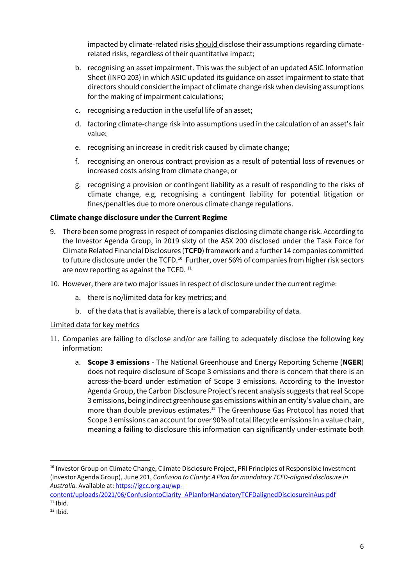impacted by climate-related risks should disclose their assumptions regarding climaterelated risks, regardless of their quantitative impact;

- b. recognising an asset impairment. This was the subject of an updated ASIC Information Sheet (INFO 203) in which ASIC updated its guidance on asset impairment to state that directors should consider the impact of climate change risk when devising assumptions for the making of impairment calculations;
- c. recognising a reduction in the useful life of an asset;
- d. factoring climate-change risk into assumptions used in the calculation of an asset's fair value;
- e. recognising an increase in credit risk caused by climate change;
- f. recognising an onerous contract provision as a result of potential loss of revenues or increased costs arising from climate change; or
- <span id="page-5-0"></span>g. recognising a provision or contingent liability as a result of responding to the risks of climate change, e.g. recognising a contingent liability for potential litigation or fines/penalties due to more onerous climate change regulations.

## **Climate change disclosure under the Current Regime**

- 9. There been some progress in respect of companies disclosing climate change risk. According to the Investor Agenda Group, in 2019 sixty of the ASX 200 disclosed under the Task Force for Climate Related Financial Disclosures (**TCFD**) framework and a further 14 companies committed to future disclosure under the TCFD.<sup>10</sup> Further, over 56% of companies from higher risk sectors are now reporting as against the TCFD.  $11$
- 10. However, there are two major issues in respect of disclosure under the current regime:
	- a. there is no/limited data for key metrics; and
	- b. of the data that is available, there is a lack of comparability of data.

# Limited data for key metrics

- <span id="page-5-1"></span>11. Companies are failing to disclose and/or are failing to adequately disclose the following key information:
	- a. **Scope 3 emissions** The National Greenhouse and Energy Reporting Scheme (**NGER**) does not require disclosure of Scope 3 emissions and there is concern that there is an across-the-board under estimation of Scope 3 emissions. According to the Investor Agenda Group, the Carbon Disclosure Project's recent analysis suggests that real Scope 3 emissions, being indirect greenhouse gas emissions within an entity's value chain, are more than double previous estimates. <sup>12</sup> The Greenhouse Gas Protocol has noted that Scope 3 emissions can account for over 90% of total lifecycle emissions in a value chain, meaning a failing to disclosure this information can significantly under-estimate both

content/uploads/2021/06/ConfusiontoClarity APlanforMandatoryTCFDalignedDisclosureinAus.pdf  $11$  Ibid.

<sup>&</sup>lt;sup>10</sup> Investor Group on Climate Change, Climate Disclosure Project, PRI Principles of Responsible Investment (Investor Agenda Group), June 201, *Confusion to Clarity: A Plan for mandatory TCFD-aligned disclosure in Australia.* Available at: https://igcc.org.au/wp-

 $12$  Ibid.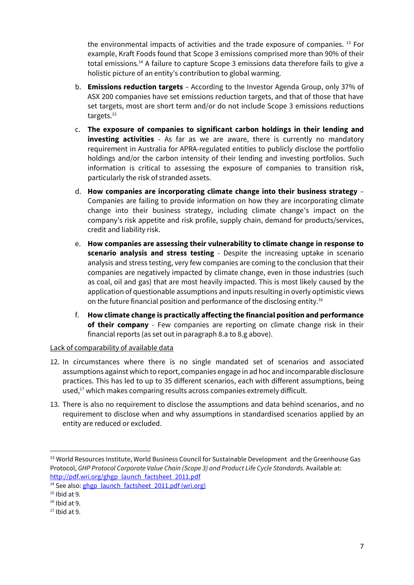the environmental impacts of activities and the trade exposure of companies. <sup>13</sup> For example, Kraft Foods found that Scope 3 emissions comprised more than 90% of their total emissions.<sup>14</sup> A failure to capture Scope 3 emissions data therefore fails to give a holistic picture of an entity's contribution to global warming.

- b. **Emissions reduction targets** According to the Investor Agenda Group, only 37% of ASX 200 companies have set emissions reduction targets, and that of those that have set targets, most are short term and/or do not include Scope 3 emissions reductions targets.<sup>15</sup>
- c. **The exposure of companies to significant carbon holdings in their lending and investing activities** - As far as we are aware, there is currently no mandatory requirement in Australia for APRA-regulated entities to publicly disclose the portfolio holdings and/or the carbon intensity of their lending and investing portfolios. Such information is critical to assessing the exposure of companies to transition risk, particularly the risk of stranded assets.
- d. **How companies are incorporating climate change into their business strategy** Companies are failing to provide information on how they are incorporating climate change into their business strategy, including climate change's impact on the company's risk appetite and risk profile, supply chain, demand for products/services, credit and liability risk.
- e. **How companies are assessing their vulnerability to climate change in response to scenario analysis and stress testing** - Despite the increasing uptake in scenario analysis and stress testing, very few companies are coming to the conclusion that their companies are negatively impacted by climate change, even in those industries (such as coal, oil and gas) that are most heavily impacted. This is most likely caused by the application of questionable assumptions and inputs resulting in overly optimistic views on the future financial position and performance of the disclosing entity.<sup>16</sup>
- f. **How climate change is practically affecting the financial position and performance of their company** - Few companies are reporting on climate change risk in their financial reports (as set out in paragraph [8.a](#page-4-0) to [8.g](#page-5-0) above).

## Lack of comparability of available data

- <span id="page-6-0"></span>12. In circumstances where there is no single mandated set of scenarios and associated assumptions against which to report, companies engage in ad hoc and incomparable disclosure practices. This has led to up to 35 different scenarios, each with different assumptions, being used,<sup>17</sup> which makes comparing results across companies extremely difficult.
- 13. There is also no requirement to disclose the assumptions and data behind scenarios, and no requirement to disclose when and why assumptions in standardised scenarios applied by an entity are reduced or excluded.

<sup>&</sup>lt;sup>13</sup> World Resources Institute, World Business Council for Sustainable Development and the Greenhouse Gas Protocol, *GHP Protocol Corporate Value Chain (Scope 3) and Product Life Cycle Standards. Available at:* http://pdf.wri.org/ghgp launch factsheet 2011.pdf

<sup>&</sup>lt;sup>14</sup> See also: ghgp launch factsheet 2011.pdf (wri.org)

 $15$  Ibid at 9.

 $16$  Ibid at 9.

 $17$  Ibid at 9.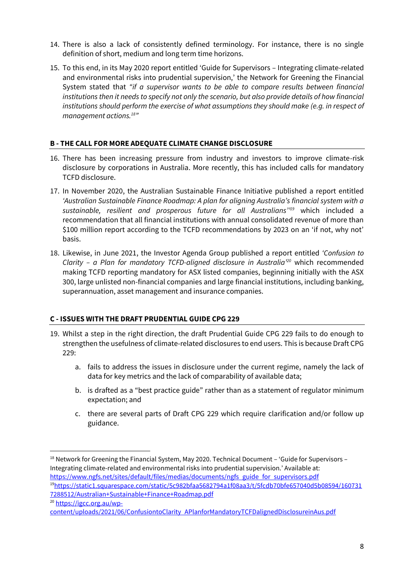- <span id="page-7-0"></span>14. There is also a lack of consistently defined terminology. For instance, there is no single definition of short, medium and long term time horizons.
- 15. To this end, in its May 2020 report entitled 'Guide for Supervisors Integrating climate-related and environmental risks into prudential supervision,' the Network for Greening the Financial System stated that *"if a supervisor wants to be able to compare results between financial institutions then it needs to specify not only the scenario, but also provide details of how financial institutions should perform the exercise of what assumptions they should make (e.g. in respect of management actions. 18 "*

## **B - THE CALL FOR MORE ADEQUATE CLIMATE CHANGE DISCLOSURE**

- 16. There has been increasing pressure from industry and investors to improve climate-risk disclosure by corporations in Australia. More recently, this has included calls for mandatory TCFD disclosure.
- 17. In November 2020, the Australian Sustainable Finance Initiative published a report entitled *'Australian Sustainable Finance Roadmap: A plan for aligning Australia's financial system with a sustainable, resilient and prosperous future for all Australians'' <sup>19</sup>* which included a recommendation that all financial institutions with annual consolidated revenue of more than \$100 million report according to the TCFD recommendations by 2023 on an 'if not, why not' basis.
- 18. Likewise, in June 2021, the Investor Agenda Group published a report entitled *'Confusion to Clarity – a Plan for mandatory TCFD-aligned disclosure in Australia'<sup>20</sup>* which recommended making TCFD reporting mandatory for ASX listed companies, beginning initially with the ASX 300, large unlisted non-financial companies and large financial institutions, including banking, superannuation, asset management and insurance companies.

# **C - ISSUES WITH THE DRAFT PRUDENTIAL GUIDE CPG 229**

- 19. Whilst a step in the right direction, the draft Prudential Guide CPG 229 fails to do enough to strengthen the usefulness of climate-related disclosures to end users. This is because Draft CPG 229:
	- a. fails to address the issues in disclosure under the current regime, namely the lack of data for key metrics and the lack of comparability of available data;
	- b. is drafted as a "best practice guide" rather than as a statement of regulator minimum expectation; and
	- c. there are several parts of Draft CPG 229 which require clarification and/or follow up guidance.

<sup>&</sup>lt;sup>18</sup> Network for Greening the Financial System, May 2020. Technical Document - 'Guide for Supervisors -Integrating climate-related and environmental risks into prudential supervision.' Available at: https://www.ngfs.net/sites/default/files/medias/documents/ngfs guide for supervisors.pdf <sup>19</sup>https://static1.squarespace.com/static/5c982bfaa5682794a1f08aa3/t/5fcdb70bfe657040d5b08594/160731 7288512/Australian+Sustainable+Finance+Roadmap.pdf <sup>20</sup> https://igcc.org.au/wp-

content/uploads/2021/06/ConfusiontoClarity APlanforMandatoryTCFDalignedDisclosureinAus.pdf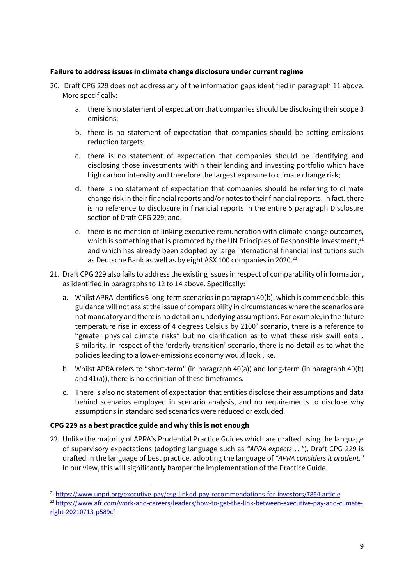## **Failure to address issues in climate change disclosure under current regime**

- 20. Draft CPG 229 does not address any of the information gaps identified in paragraph [11](#page-5-1) above. More specifically:
	- a. there is no statement of expectation that companies should be disclosing their scope 3 emisions;
	- b. there is no statement of expectation that companies should be setting emissions reduction targets;
	- c. there is no statement of expectation that companies should be identifying and disclosing those investments within their lending and investing portfolio which have high carbon intensity and therefore the largest exposure to climate change risk;
	- d. there is no statement of expectation that companies should be referring to climate change risk in their financial reports and/or notes to their financial reports. In fact, there is no reference to disclosure in financial reports in the entire 5 paragraph Disclosure section of Draft CPG 229; and,
	- e. there is no mention of linking executive remuneration with climate change outcomes, which is something that is promoted by the UN Principles of Responsible Investment,<sup>21</sup> and which has already been adopted by large international financial institutions such as Deutsche Bank as well as by eight ASX 100 companies in 2020.<sup>22</sup>
- 21. Draft CPG 229 also fails to address the existing issues in respect of comparability of information, as identified in paragraphs t[o 12](#page-6-0) t[o 14](#page-7-0) above. Specifically:
	- a. Whilst APRA identifies 6 long-term scenarios in paragraph 40(b), which is commendable, this guidance will not assist the issue of comparability in circumstances where the scenarios are not mandatory and there is no detail on underlying assumptions. For example, in the 'future temperature rise in excess of 4 degrees Celsius by 2100' scenario, there is a reference to "greater physical climate risks" but no clarification as to what these risk swill entail. Similarity, in respect of the 'orderly transition' scenario, there is no detail as to what the policies leading to a lower-emissions economy would look like.
	- b. Whilst APRA refers to "short-term" (in paragraph 40(a)) and long-term (in paragraph 40(b) and 41(a)), there is no definition of these timeframes.
	- c. There is also no statement of expectation that entities disclose their assumptions and data behind scenarios employed in scenario analysis, and no requirements to disclose why assumptions in standardised scenarios were reduced or excluded.

## **CPG 229 as a best practice guide and why this is not enough**

22. Unlike the majority of APRA's Prudential Practice Guides which are drafted using the language of supervisory expectations (adopting language such as *"APRA expects…."*), Draft CPG 229 is drafted in the language of best practice, adopting the language of *"APRA considers it prudent."* In our view, this will significantly hamper the implementation of the Practice Guide.

<sup>21</sup> https://www.unpri.org/executive-pay/esg-linked-pay-recommendations-for-investors/7864.article

<sup>&</sup>lt;sup>22</sup> https://www.afr.com/work-and-careers/leaders/how-to-get-the-link-between-executive-pay-and-climateright-20210713-p589cf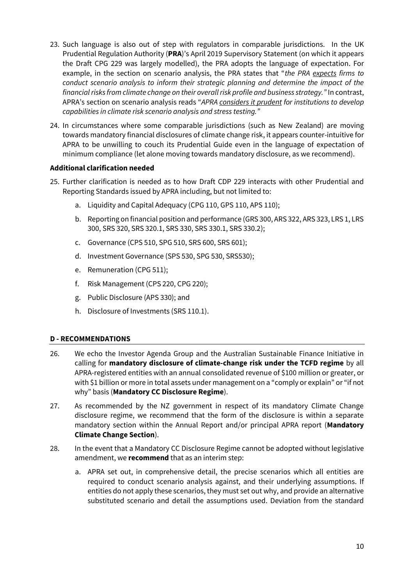- 23. Such language is also out of step with regulators in comparable jurisdictions. In the UK Prudential Regulation Authority (**PRA**)'s April 2019 Supervisory Statement (on which it appears the Draft CPG 229 was largely modelled), the PRA adopts the language of expectation. For example, in the section on scenario analysis, the PRA states that "*the PRA expects firms to conduct scenario analysis to inform their strategic planning and determine the impact of the financial risks from climate change on their overall risk profile and business strategy."* In contrast, APRA's section on scenario analysis reads "*APRA considers it prudent for institutions to develop capabilities in climate risk scenario analysis and stress testing."*
- 24. In circumstances where some comparable jurisdictions (such as New Zealand) are moving towards mandatory financial disclosures of climate change risk, it appears counter-intuitive for APRA to be unwilling to couch its Prudential Guide even in the language of expectation of minimum compliance (let alone moving towards mandatory disclosure, as we recommend).

## **Additional clarification needed**

- 25. Further clarification is needed as to how Draft CDP 229 interacts with other Prudential and Reporting Standards issued by APRA including, but not limited to:
	- a. Liquidity and Capital Adequacy (CPG 110, GPS 110, APS 110);
	- b. Reporting on financial position and performance (GRS 300, ARS 322, ARS 323, LRS 1, LRS 300, SRS 320, SRS 320.1, SRS 330, SRS 330.1, SRS 330.2);
	- c. Governance (CPS 510, SPG 510, SRS 600, SRS 601);
	- d. Investment Governance (SPS 530, SPG 530, SRS530);
	- e. Remuneration (CPG 511);
	- f. Risk Management (CPS 220, CPG 220);
	- g. Public Disclosure (APS 330); and
	- h. Disclosure of Investments (SRS 110.1).

## **D - RECOMMENDATIONS**

- 26. We echo the Investor Agenda Group and the Australian Sustainable Finance Initiative in calling for **mandatory disclosure of climate-change risk under the TCFD regime** by all APRA-registered entities with an annual consolidated revenue of \$100 million or greater, or with \$1 billion or more in total assets under management on a "comply or explain" or "if not why" basis (**Mandatory CC Disclosure Regime**).
- 27. As recommended by the NZ government in respect of its mandatory Climate Change disclosure regime, we recommend that the form of the disclosure is within a separate mandatory section within the Annual Report and/or principal APRA report (**Mandatory Climate Change Section**).
- 28. In the event that a Mandatory CC Disclosure Regime cannot be adopted without legislative amendment, we **recommend** that as an interim step:
	- a. APRA set out, in comprehensive detail, the precise scenarios which all entities are required to conduct scenario analysis against, and their underlying assumptions. If entities do not apply these scenarios, they must set out why, and provide an alternative substituted scenario and detail the assumptions used. Deviation from the standard